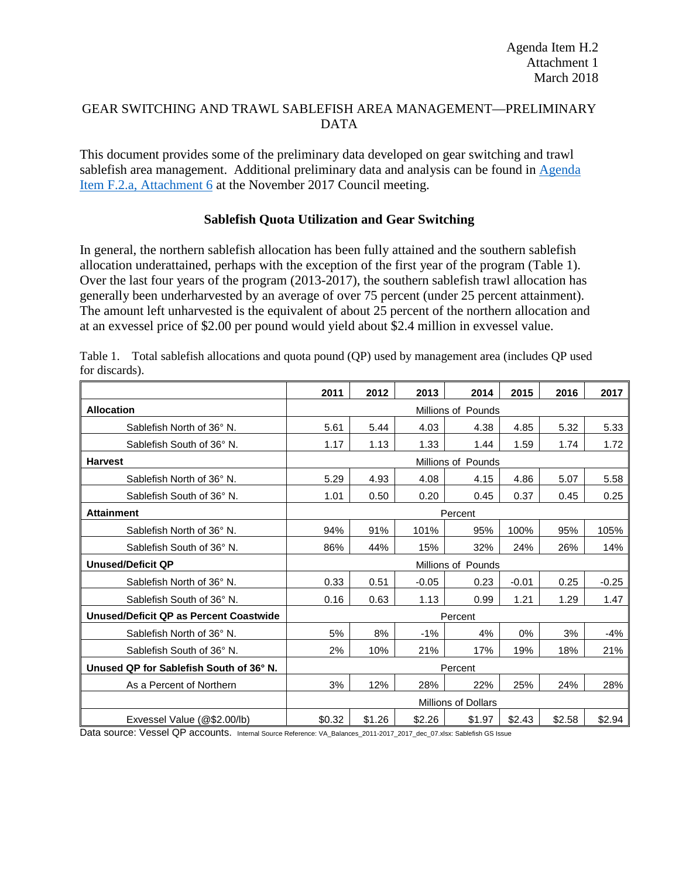# GEAR SWITCHING AND TRAWL SABLEFISH AREA MANAGEMENT—PRELIMINARY DATA

This document provides some of the preliminary data developed on gear switching and trawl sablefish area management. Additional preliminary data and analysis can be found in [Agenda](http://www.pcouncil.org/wp-content/uploads/2017/10/F2_Att6_FollowOnActions_NOV2017BB.pdf)  [Item F.2.a, Attachment 6](http://www.pcouncil.org/wp-content/uploads/2017/10/F2_Att6_FollowOnActions_NOV2017BB.pdf) at the November 2017 Council meeting.

# **Sablefish Quota Utilization and Gear Switching**

In general, the northern sablefish allocation has been fully attained and the southern sablefish allocation underattained, perhaps with the exception of the first year of the program [\(Table 1\)](#page-0-0). Over the last four years of the program (2013-2017), the southern sablefish trawl allocation has generally been underharvested by an average of over 75 percent (under 25 percent attainment). The amount left unharvested is the equivalent of about 25 percent of the northern allocation and at an exvessel price of \$2.00 per pound would yield about \$2.4 million in exvessel value.

|                                         | 2011                       | 2012    | 2013    | 2014               | 2015    | 2016   | 2017    |
|-----------------------------------------|----------------------------|---------|---------|--------------------|---------|--------|---------|
| <b>Allocation</b>                       |                            |         |         | Millions of Pounds |         |        |         |
| Sablefish North of 36° N.               | 5.61                       | 5.44    | 4.03    | 4.38               | 4.85    | 5.32   | 5.33    |
| Sablefish South of 36° N.               | 1.17                       | 1.13    | 1.33    | 1.44               | 1.59    | 1.74   | 1.72    |
| <b>Harvest</b>                          |                            |         |         | Millions of Pounds |         |        |         |
| Sablefish North of 36° N.               | 5.29                       | 4.93    | 4.08    | 4.15               | 4.86    | 5.07   | 5.58    |
| Sablefish South of 36° N.               | 1.01                       | 0.50    | 0.20    | 0.45               | 0.37    | 0.45   | 0.25    |
| <b>Attainment</b>                       |                            | Percent |         |                    |         |        |         |
| Sablefish North of 36° N.               | 94%                        | 91%     | 101%    | 95%                | 100%    | 95%    | 105%    |
| Sablefish South of 36° N.               | 86%                        | 44%     | 15%     | 32%                | 24%     | 26%    | 14%     |
| <b>Unused/Deficit QP</b>                | Millions of Pounds         |         |         |                    |         |        |         |
| Sablefish North of 36° N.               | 0.33                       | 0.51    | $-0.05$ | 0.23               | $-0.01$ | 0.25   | $-0.25$ |
| Sablefish South of 36° N.               | 0.16                       | 0.63    | 1.13    | 0.99               | 1.21    | 1.29   | 1.47    |
| Unused/Deficit QP as Percent Coastwide  | Percent                    |         |         |                    |         |        |         |
| Sablefish North of 36° N.               | 5%                         | 8%      | $-1%$   | 4%                 | 0%      | 3%     | $-4%$   |
| Sablefish South of 36° N.               | 2%                         | 10%     | 21%     | 17%                | 19%     | 18%    | 21%     |
| Unused QP for Sablefish South of 36° N. | Percent                    |         |         |                    |         |        |         |
| As a Percent of Northern                | 3%                         | 12%     | 28%     | 22%                | 25%     | 24%    | 28%     |
|                                         | <b>Millions of Dollars</b> |         |         |                    |         |        |         |
| Exvessel Value (@\$2.00/lb)             | \$0.32                     | \$1.26  | \$2.26  | \$1.97             | \$2.43  | \$2.58 | \$2.94  |

<span id="page-0-0"></span>Table 1. Total sablefish allocations and quota pound (QP) used by management area (includes QP used for discards).

Data source: Vessel QP accounts. Internal Source Reference: VA\_Balances\_2011-2017\_2017\_dec\_07.xlsx: Sablefish GS Issue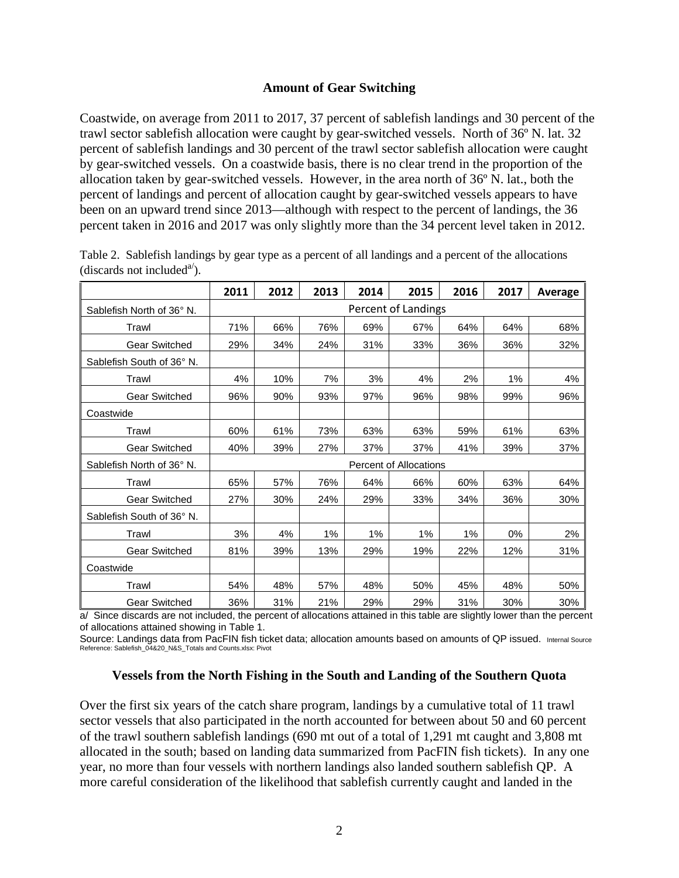### **Amount of Gear Switching**

Coastwide, on average from 2011 to 2017, 37 percent of sablefish landings and 30 percent of the trawl sector sablefish allocation were caught by gear-switched vessels. North of 36º N. lat. 32 percent of sablefish landings and 30 percent of the trawl sector sablefish allocation were caught by gear-switched vessels. On a coastwide basis, there is no clear trend in the proportion of the allocation taken by gear-switched vessels. However, in the area north of 36º N. lat., both the percent of landings and percent of allocation caught by gear-switched vessels appears to have been on an upward trend since 2013—although with respect to the percent of landings, the 36 percent taken in 2016 and 2017 was only slightly more than the 34 percent level taken in 2012.

|                           | 2011                          | 2012 | 2013 | 2014 | 2015                | 2016 | 2017 | Average |  |
|---------------------------|-------------------------------|------|------|------|---------------------|------|------|---------|--|
| Sablefish North of 36° N. |                               |      |      |      | Percent of Landings |      |      |         |  |
| Trawl                     | 71%                           | 66%  | 76%  | 69%  | 67%                 | 64%  | 64%  | 68%     |  |
| <b>Gear Switched</b>      | 29%                           | 34%  | 24%  | 31%  | 33%                 | 36%  | 36%  | 32%     |  |
| Sablefish South of 36° N. |                               |      |      |      |                     |      |      |         |  |
| Trawl                     | 4%                            | 10%  | 7%   | 3%   | 4%                  | 2%   | 1%   | 4%      |  |
| <b>Gear Switched</b>      | 96%                           | 90%  | 93%  | 97%  | 96%                 | 98%  | 99%  | 96%     |  |
| Coastwide                 |                               |      |      |      |                     |      |      |         |  |
| Trawl                     | 60%                           | 61%  | 73%  | 63%  | 63%                 | 59%  | 61%  | 63%     |  |
| <b>Gear Switched</b>      | 40%                           | 39%  | 27%  | 37%  | 37%                 | 41%  | 39%  | 37%     |  |
| Sablefish North of 36° N. | <b>Percent of Allocations</b> |      |      |      |                     |      |      |         |  |
| Trawl                     | 65%                           | 57%  | 76%  | 64%  | 66%                 | 60%  | 63%  | 64%     |  |
| <b>Gear Switched</b>      | 27%                           | 30%  | 24%  | 29%  | 33%                 | 34%  | 36%  | 30%     |  |
| Sablefish South of 36° N. |                               |      |      |      |                     |      |      |         |  |
| Trawl                     | 3%                            | 4%   | 1%   | 1%   | 1%                  | 1%   | 0%   | 2%      |  |
| <b>Gear Switched</b>      | 81%                           | 39%  | 13%  | 29%  | 19%                 | 22%  | 12%  | 31%     |  |
| Coastwide                 |                               |      |      |      |                     |      |      |         |  |
| Trawl                     | 54%                           | 48%  | 57%  | 48%  | 50%                 | 45%  | 48%  | 50%     |  |
| <b>Gear Switched</b>      | 36%                           | 31%  | 21%  | 29%  | 29%                 | 31%  | 30%  | 30%     |  |

Table 2. Sablefish landings by gear type as a percent of all landings and a percent of the allocations (discards not included<sup>a'</sup>).

a/ Since discards are not included, the percent of allocations attained in this table are slightly lower than the percent of allocations attained showing i[n Table 1.](#page-0-0)

Source: Landings data from PacFIN fish ticket data; allocation amounts based on amounts of QP issued. Internal Source Reference: Sablefish\_04&20\_N&S\_Totals and Counts.xlsx: Pivot

#### **Vessels from the North Fishing in the South and Landing of the Southern Quota**

Over the first six years of the catch share program, landings by a cumulative total of 11 trawl sector vessels that also participated in the north accounted for between about 50 and 60 percent of the trawl southern sablefish landings (690 mt out of a total of 1,291 mt caught and 3,808 mt allocated in the south; based on landing data summarized from PacFIN fish tickets). In any one year, no more than four vessels with northern landings also landed southern sablefish QP. A more careful consideration of the likelihood that sablefish currently caught and landed in the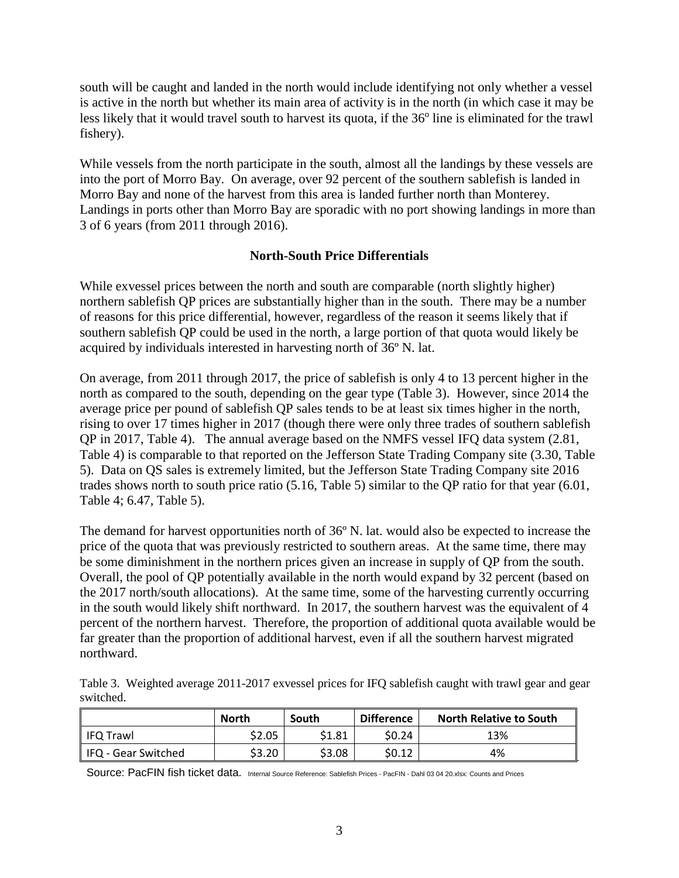south will be caught and landed in the north would include identifying not only whether a vessel is active in the north but whether its main area of activity is in the north (in which case it may be less likely that it would travel south to harvest its quota, if the 36<sup>o</sup> line is eliminated for the trawl fishery).

While vessels from the north participate in the south, almost all the landings by these vessels are into the port of Morro Bay. On average, over 92 percent of the southern sablefish is landed in Morro Bay and none of the harvest from this area is landed further north than Monterey. Landings in ports other than Morro Bay are sporadic with no port showing landings in more than 3 of 6 years (from 2011 through 2016).

# **North-South Price Differentials**

While exvessel prices between the north and south are comparable (north slightly higher) northern sablefish QP prices are substantially higher than in the south. There may be a number of reasons for this price differential, however, regardless of the reason it seems likely that if southern sablefish QP could be used in the north, a large portion of that quota would likely be acquired by individuals interested in harvesting north of 36º N. lat.

On average, from 2011 through 2017, the price of sablefish is only 4 to 13 percent higher in the north as compared to the south, depending on the gear type [\(Table 3\)](#page-2-0). However, since 2014 the average price per pound of sablefish QP sales tends to be at least six times higher in the north, rising to over 17 times higher in 2017 (though there were only three trades of southern sablefish QP in 2017, [Table 4\)](#page-3-0). The annual average based on the NMFS vessel IFQ data system (2.81, [Table 4\)](#page-3-0) is comparable to that reported on the Jefferson State Trading Company site (3.30, [Table](#page-3-1)  [5\)](#page-3-1). Data on QS sales is extremely limited, but the Jefferson State Trading Company site 2016 trades shows north to south price ratio (5.16, [Table 5\)](#page-3-1) similar to the QP ratio for that year (6.01, [Table 4;](#page-3-0) 6.47, [Table 5\)](#page-3-1).

The demand for harvest opportunities north of 36º N. lat. would also be expected to increase the price of the quota that was previously restricted to southern areas. At the same time, there may be some diminishment in the northern prices given an increase in supply of QP from the south. Overall, the pool of QP potentially available in the north would expand by 32 percent (based on the 2017 north/south allocations). At the same time, some of the harvesting currently occurring in the south would likely shift northward. In 2017, the southern harvest was the equivalent of 4 percent of the northern harvest. Therefore, the proportion of additional quota available would be far greater than the proportion of additional harvest, even if all the southern harvest migrated northward.

<span id="page-2-0"></span>Table 3. Weighted average 2011-2017 exvessel prices for IFQ sablefish caught with trawl gear and gear switched.

|                       | <b>North</b> | South  | <b>Difference</b> | <b>North Relative to South</b> |
|-----------------------|--------------|--------|-------------------|--------------------------------|
| l IFQ Trawl           | \$2.05       | \$1.81 | \$0.24            | 13%                            |
| l IFQ - Gear Switched | \$3.20       | \$3.08 | \$0.12            | 4%                             |

Source: PacFIN fish ticket data. Internal Source Reference: Sablefish Prices - PacFIN - Dahl 03 04 20.xlsx: Counts and Prices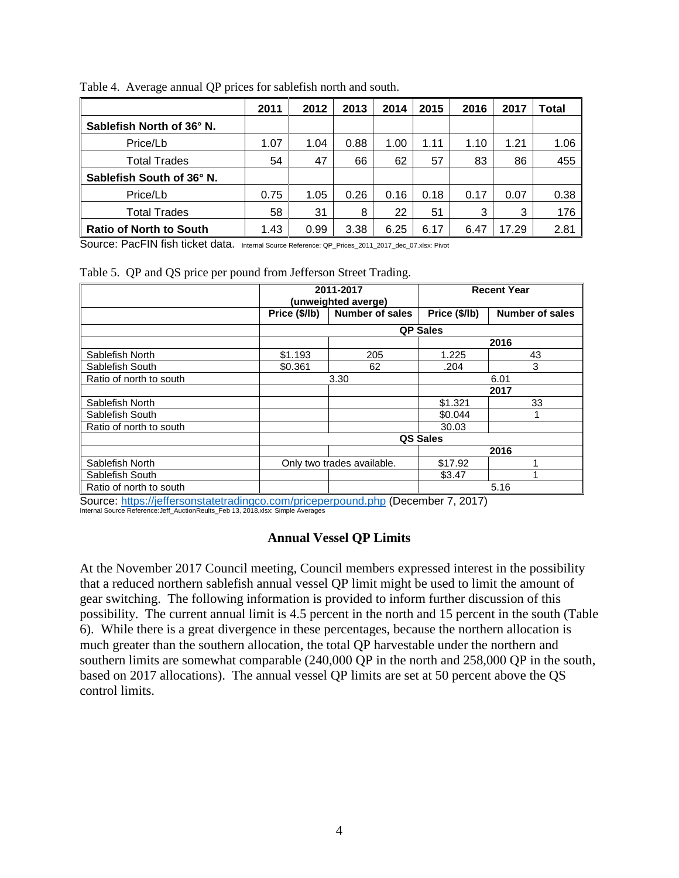|                                | 2011 | 2012 | 2013 | 2014 | 2015 | 2016 | 2017  | Total |
|--------------------------------|------|------|------|------|------|------|-------|-------|
| Sablefish North of 36° N.      |      |      |      |      |      |      |       |       |
| Price/Lb                       | 1.07 | 1.04 | 0.88 | 1.00 | 1.11 | 1.10 | 1.21  | 1.06  |
| <b>Total Trades</b>            | 54   | 47   | 66   | 62   | 57   | 83   | 86    | 455   |
| Sablefish South of 36° N.      |      |      |      |      |      |      |       |       |
| Price/Lb                       | 0.75 | 1.05 | 0.26 | 0.16 | 0.18 | 0.17 | 0.07  | 0.38  |
| <b>Total Trades</b>            | 58   | 31   | 8    | 22   | 51   | 3    | 3     | 176   |
| <b>Ratio of North to South</b> | 1.43 | 0.99 | 3.38 | 6.25 | 6.17 | 6.47 | 17.29 | 2.81  |

<span id="page-3-0"></span>Table 4. Average annual QP prices for sablefish north and south.

Source: PacFIN fish ticket data. Internal Source Reference: QP\_Prices\_2011\_2017\_dec\_07.xlsx: Pivot

<span id="page-3-1"></span>Table 5. QP and QS price per pound from Jefferson Street Trading.

|                         |                            | 2011-2017              | <b>Recent Year</b> |                        |  |
|-------------------------|----------------------------|------------------------|--------------------|------------------------|--|
|                         |                            | (unweighted averge)    |                    |                        |  |
|                         | Price (\$/lb)              | <b>Number of sales</b> | Price (\$/lb)      | <b>Number of sales</b> |  |
|                         |                            |                        | <b>QP Sales</b>    |                        |  |
|                         |                            |                        |                    | 2016                   |  |
| Sablefish North         | \$1.193                    | 205                    | 1.225              | 43                     |  |
| Sablefish South         | \$0.361                    | 62                     | .204               | 3                      |  |
| Ratio of north to south |                            | 3.30                   | 6.01               |                        |  |
|                         |                            |                        |                    | 2017                   |  |
| Sablefish North         |                            |                        | \$1.321            | 33                     |  |
| Sablefish South         |                            |                        | \$0.044            |                        |  |
| Ratio of north to south |                            |                        | 30.03              |                        |  |
|                         | QS Sales                   |                        |                    |                        |  |
|                         |                            |                        |                    | 2016                   |  |
| Sablefish North         | Only two trades available. |                        | \$17.92            |                        |  |
| Sablefish South         |                            |                        | \$3.47             |                        |  |
| Ratio of north to south |                            |                        | 5.16               |                        |  |

 $\texttt{Source:}\ \textit{https://jeffersonstatetradiingco.com/priceperpound.php}$  (December 7, 2017)<br>Internal Source Reference:Jeff\_AuctionReults\_Feb 13, 2018.xlsx: Simple Averages

# **Annual Vessel QP Limits**

At the November 2017 Council meeting, Council members expressed interest in the possibility that a reduced northern sablefish annual vessel QP limit might be used to limit the amount of gear switching. The following information is provided to inform further discussion of this possibility. The current annual limit is 4.5 percent in the north and 15 percent in the south [\(Table](#page-4-0)  [6\)](#page-4-0). While there is a great divergence in these percentages, because the northern allocation is much greater than the southern allocation, the total QP harvestable under the northern and southern limits are somewhat comparable (240,000 QP in the north and 258,000 QP in the south, based on 2017 allocations). The annual vessel QP limits are set at 50 percent above the QS control limits.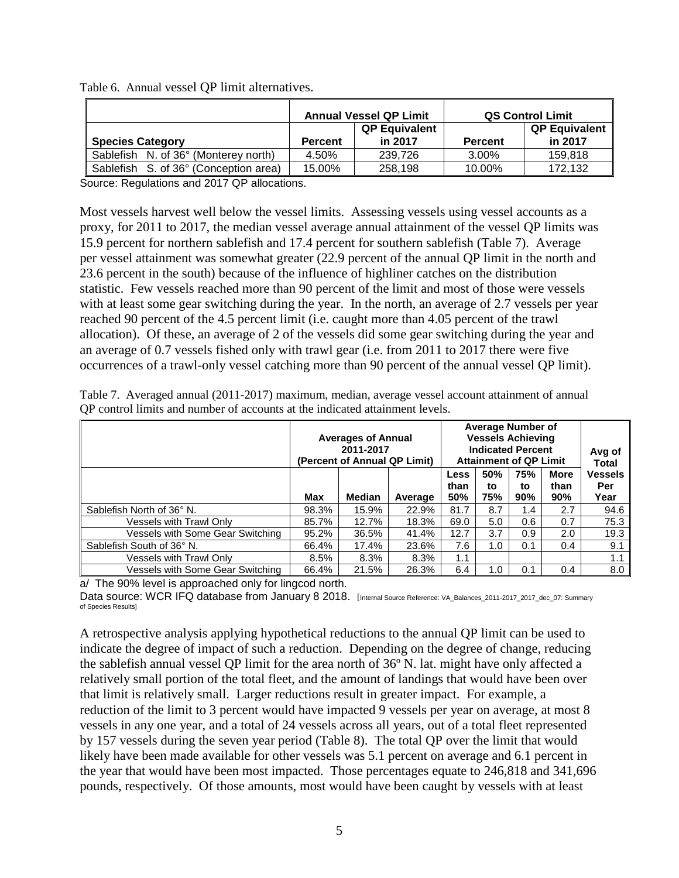|                                       |         | <b>Annual Vessel QP Limit</b>   | <b>QS Control Limit</b> |                                 |  |
|---------------------------------------|---------|---------------------------------|-------------------------|---------------------------------|--|
| <b>Species Category</b>               | Percent | <b>QP Equivalent</b><br>in 2017 | <b>Percent</b>          | <b>QP Equivalent</b><br>in 2017 |  |
| Sablefish N. of 36° (Monterey north)  | 4.50%   | 239,726                         | 3.00%                   | 159,818                         |  |
| Sablefish S. of 36° (Conception area) | 15.00%  | 258,198                         | 10.00%                  | 172.132                         |  |

<span id="page-4-0"></span>Table 6. Annual vessel QP limit alternatives.

Source: Regulations and 2017 QP allocations.

Most vessels harvest well below the vessel limits. Assessing vessels using vessel accounts as a proxy, for 2011 to 2017, the median vessel average annual attainment of the vessel QP limits was 15.9 percent for northern sablefish and 17.4 percent for southern sablefish [\(Table 7\)](#page-4-1). Average per vessel attainment was somewhat greater (22.9 percent of the annual QP limit in the north and 23.6 percent in the south) because of the influence of highliner catches on the distribution statistic. Few vessels reached more than 90 percent of the limit and most of those were vessels with at least some gear switching during the year. In the north, an average of 2.7 vessels per year reached 90 percent of the 4.5 percent limit (i.e. caught more than 4.05 percent of the trawl allocation). Of these, an average of 2 of the vessels did some gear switching during the year and an average of 0.7 vessels fished only with trawl gear (i.e. from 2011 to 2017 there were five occurrences of a trawl-only vessel catching more than 90 percent of the annual vessel QP limit).

|                                  | <b>Averages of Annual</b><br>(Percent of Annual QP Limit) | <b>Average Number of</b><br><b>Vessels Achieving</b><br><b>Indicated Percent</b><br><b>Attainment of QP Limit</b> | Avg of<br>Total |                            |                  |                  |                     |                                      |  |
|----------------------------------|-----------------------------------------------------------|-------------------------------------------------------------------------------------------------------------------|-----------------|----------------------------|------------------|------------------|---------------------|--------------------------------------|--|
|                                  | Max                                                       | Median                                                                                                            | Average         | <b>Less</b><br>than<br>50% | 50%<br>to<br>75% | 75%<br>to<br>90% | More<br>than<br>90% | <b>Vessels</b><br><b>Per</b><br>Year |  |
| Sablefish North of 36° N.        | 98.3%                                                     | 15.9%                                                                                                             | 22.9%           | 81.7                       | 8.7              | 1.4              | 2.7                 | 94.6                                 |  |
| Vessels with Trawl Only          | 85.7%                                                     | 12.7%                                                                                                             | 18.3%           | 69.0                       | 5.0              | 0.6              | 0.7                 | 75.3                                 |  |
| Vessels with Some Gear Switching | 95.2%                                                     | 36.5%                                                                                                             | 41.4%           | 12.7                       | 3.7              | 0.9              | 2.0                 | 19.3                                 |  |
| Sablefish South of 36° N.        | 66.4%                                                     | 17.4%                                                                                                             | 23.6%           | 7.6                        | 1.0              | 0.1              | 0.4                 | 9.1                                  |  |
| Vessels with Trawl Only          | 8.5%                                                      | 8.3%                                                                                                              | 8.3%            | 1.1                        |                  |                  |                     | 1.1                                  |  |
| Vessels with Some Gear Switching | 66.4%                                                     | 21.5%                                                                                                             | 26.3%           | 6.4                        | 1.0              | 0.1              | 0.4                 | 8.0                                  |  |

<span id="page-4-1"></span>Table 7. Averaged annual (2011-2017) maximum, median, average vessel account attainment of annual QP control limits and number of accounts at the indicated attainment levels.

a/ The 90% level is approached only for lingcod north.

Data source: WCR IFQ database from January 8 2018. [Internal Source Reference: VA\_Balances\_2011-2017\_dec\_07: Summary of Species Results]

A retrospective analysis applying hypothetical reductions to the annual QP limit can be used to indicate the degree of impact of such a reduction. Depending on the degree of change, reducing the sablefish annual vessel QP limit for the area north of 36º N. lat. might have only affected a relatively small portion of the total fleet, and the amount of landings that would have been over that limit is relatively small. Larger reductions result in greater impact. For example, a reduction of the limit to 3 percent would have impacted 9 vessels per year on average, at most 8 vessels in any one year, and a total of 24 vessels across all years, out of a total fleet represented by 157 vessels during the seven year period [\(Table 8\)](#page-5-0). The total QP over the limit that would likely have been made available for other vessels was 5.1 percent on average and 6.1 percent in the year that would have been most impacted. Those percentages equate to 246,818 and 341,696 pounds, respectively. Of those amounts, most would have been caught by vessels with at least